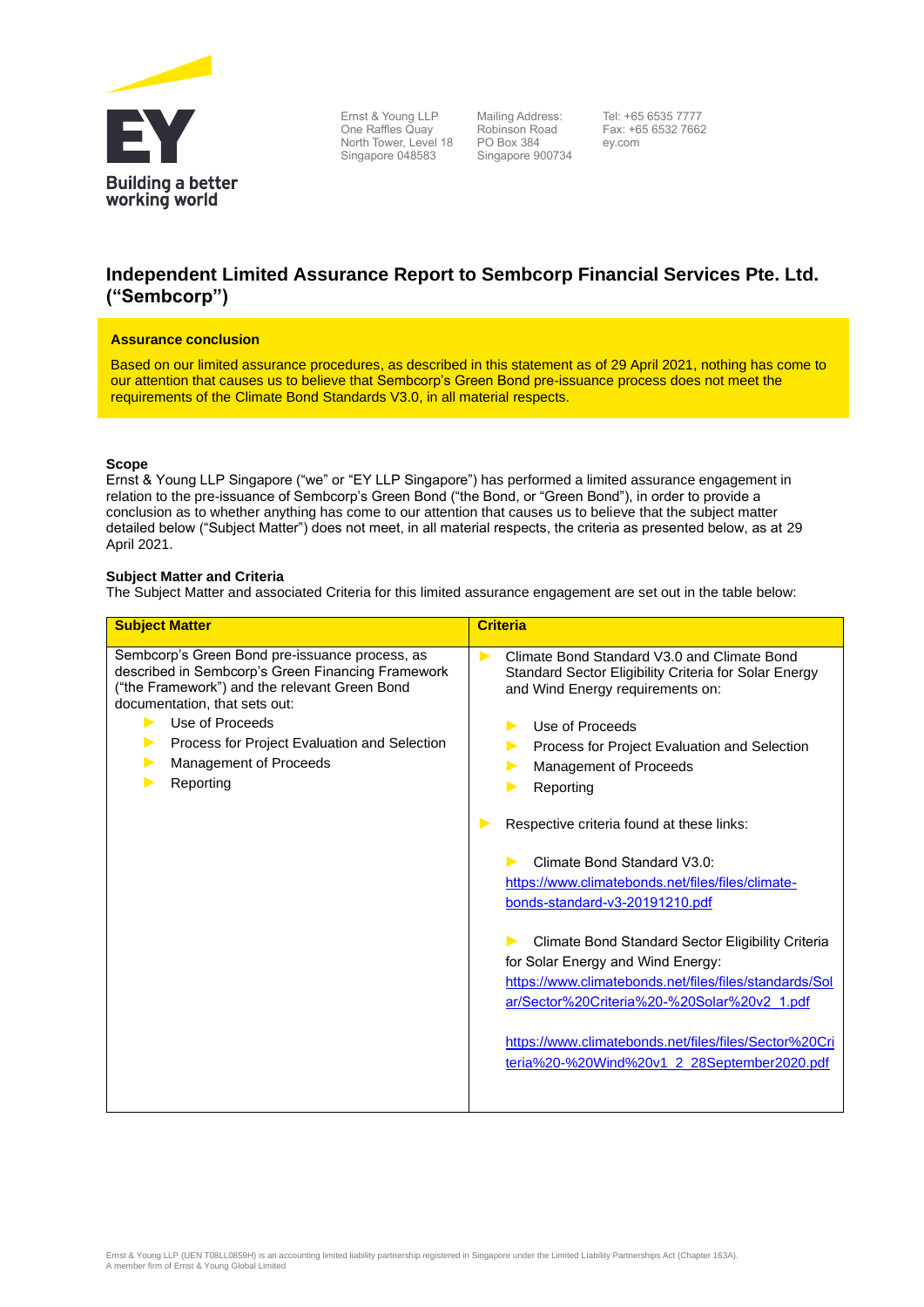

Ernst & Young LLP One Raffles Quay North Tower, Level 18 Singapore 048583

Mailing Address: Robinson Road PO Box 384 Singapore 900734

Tel: +65 6535 7777 Fax: +65 6532 7662 ey.com

# **Independent Limited Assurance Report to Sembcorp Financial Services Pte. Ltd. ("Sembcorp")**

#### **Assurance conclusion**

Based on our limited assurance procedures, as described in this statement as of 29 April 2021, nothing has come to our attention that causes us to believe that Sembcorp's Green Bond pre-issuance process does not meet the requirements of the Climate Bond Standards V3.0, in all material respects.

# **Scope**

Ernst & Young LLP Singapore ("we" or "EY LLP Singapore") has performed a limited assurance engagement in relation to the pre-issuance of Sembcorp's Green Bond ("the Bond, or "Green Bond"), in order to provide a conclusion as to whether anything has come to our attention that causes us to believe that the subject matter detailed below ("Subject Matter") does not meet, in all material respects, the criteria as presented below, as at 29 April 2021.

# **Subject Matter and Criteria**

The Subject Matter and associated Criteria for this limited assurance engagement are set out in the table below:

| Climate Bond Standard V3.0 and Climate Bond<br>Standard Sector Eligibility Criteria for Solar Energy<br>and Wind Energy requirements on:<br>Use of Proceeds<br>Process for Project Evaluation and Selection<br>Management of Proceeds<br>Reporting<br>Respective criteria found at these links:<br>Climate Bond Standard V3.0:<br>https://www.climatebonds.net/files/files/climate-<br>bonds-standard-v3-20191210.pdf<br>Climate Bond Standard Sector Eligibility Criteria<br>for Solar Energy and Wind Energy:<br>https://www.climatebonds.net/files/files/standards/Sol<br>ar/Sector%20Criteria%20-%20Solar%20v2 1.pdf<br>https://www.climatebonds.net/files/files/Sector%20Cri<br>teria%20-%20Wind%20v1_2_28September2020.pdf |
|----------------------------------------------------------------------------------------------------------------------------------------------------------------------------------------------------------------------------------------------------------------------------------------------------------------------------------------------------------------------------------------------------------------------------------------------------------------------------------------------------------------------------------------------------------------------------------------------------------------------------------------------------------------------------------------------------------------------------------|
|                                                                                                                                                                                                                                                                                                                                                                                                                                                                                                                                                                                                                                                                                                                                  |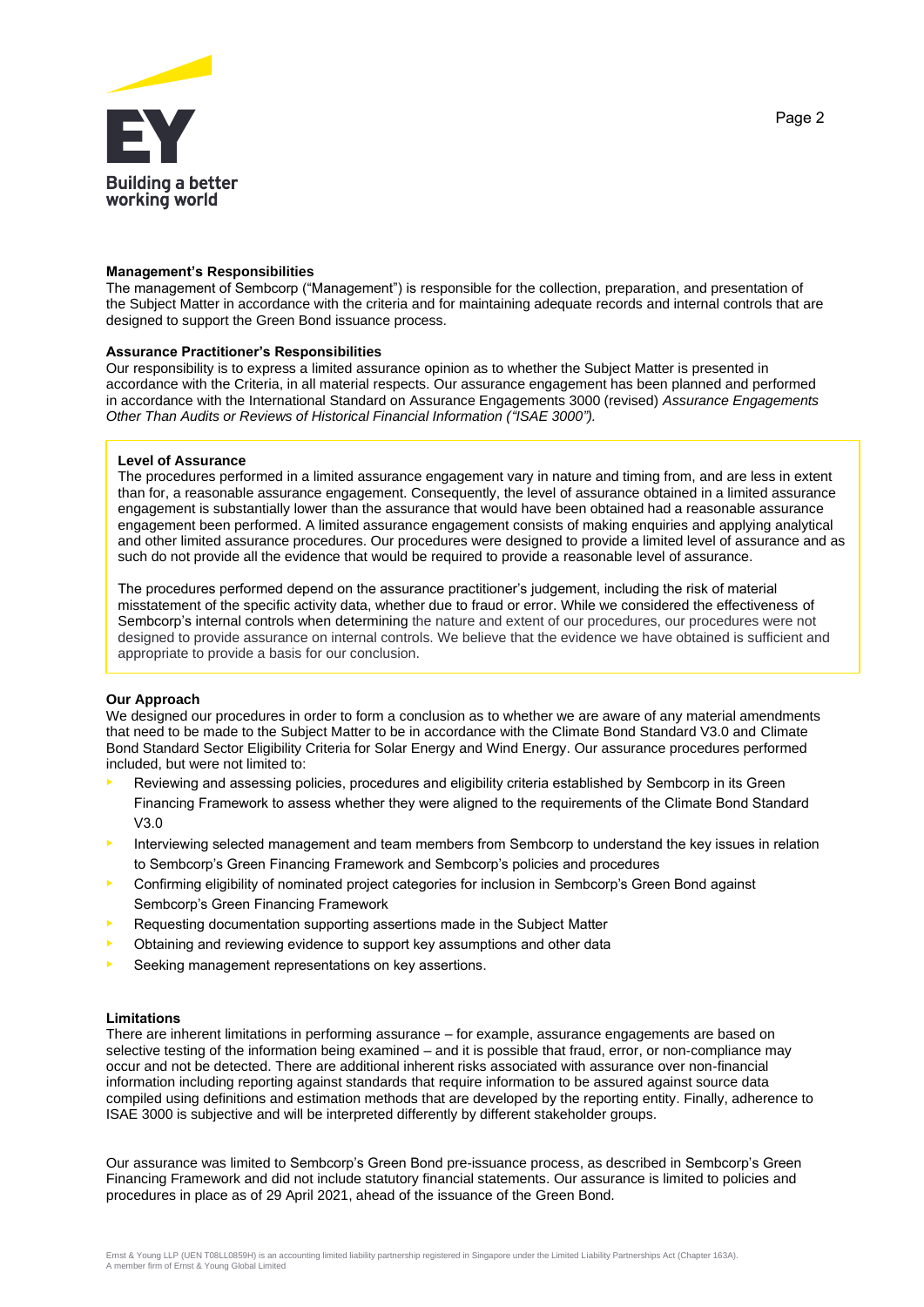

#### **Management's Responsibilities**

The management of Sembcorp ("Management") is responsible for the collection, preparation, and presentation of the Subject Matter in accordance with the criteria and for maintaining adequate records and internal controls that are designed to support the Green Bond issuance process.

#### **Assurance Practitioner's Responsibilities**

Our responsibility is to express a limited assurance opinion as to whether the Subject Matter is presented in accordance with the Criteria, in all material respects. Our assurance engagement has been planned and performed in accordance with the International Standard on Assurance Engagements 3000 (revised) *Assurance Engagements Other Than Audits or Reviews of Historical Financial Information ("ISAE 3000").*

# **Level of Assurance**

The procedures performed in a limited assurance engagement vary in nature and timing from, and are less in extent than for, a reasonable assurance engagement. Consequently, the level of assurance obtained in a limited assurance engagement is substantially lower than the assurance that would have been obtained had a reasonable assurance engagement been performed. A limited assurance engagement consists of making enquiries and applying analytical and other limited assurance procedures. Our procedures were designed to provide a limited level of assurance and as such do not provide all the evidence that would be required to provide a reasonable level of assurance.

The procedures performed depend on the assurance practitioner's judgement, including the risk of material misstatement of the specific activity data, whether due to fraud or error. While we considered the effectiveness of Sembcorp's internal controls when determining the nature and extent of our procedures, our procedures were not designed to provide assurance on internal controls. We believe that the evidence we have obtained is sufficient and appropriate to provide a basis for our conclusion.

# **Our Approach**

We designed our procedures in order to form a conclusion as to whether we are aware of any material amendments that need to be made to the Subject Matter to be in accordance with the Climate Bond Standard V3.0 and Climate Bond Standard Sector Eligibility Criteria for Solar Energy and Wind Energy. Our assurance procedures performed included, but were not limited to:

- Reviewing and assessing policies, procedures and eligibility criteria established by Sembcorp in its Green Financing Framework to assess whether they were aligned to the requirements of the Climate Bond Standard V3.0
- Interviewing selected management and team members from Sembcorp to understand the key issues in relation to Sembcorp's Green Financing Framework and Sembcorp's policies and procedures
- Confirming eligibility of nominated project categories for inclusion in Sembcorp's Green Bond against Sembcorp's Green Financing Framework
- Requesting documentation supporting assertions made in the Subject Matter
- Obtaining and reviewing evidence to support key assumptions and other data
- Seeking management representations on key assertions.

# **Limitations**

There are inherent limitations in performing assurance – for example, assurance engagements are based on selective testing of the information being examined – and it is possible that fraud, error, or non-compliance may occur and not be detected. There are additional inherent risks associated with assurance over non-financial information including reporting against standards that require information to be assured against source data compiled using definitions and estimation methods that are developed by the reporting entity. Finally, adherence to ISAE 3000 is subjective and will be interpreted differently by different stakeholder groups.

Our assurance was limited to Sembcorp's Green Bond pre-issuance process, as described in Sembcorp's Green Financing Framework and did not include statutory financial statements. Our assurance is limited to policies and procedures in place as of 29 April 2021, ahead of the issuance of the Green Bond.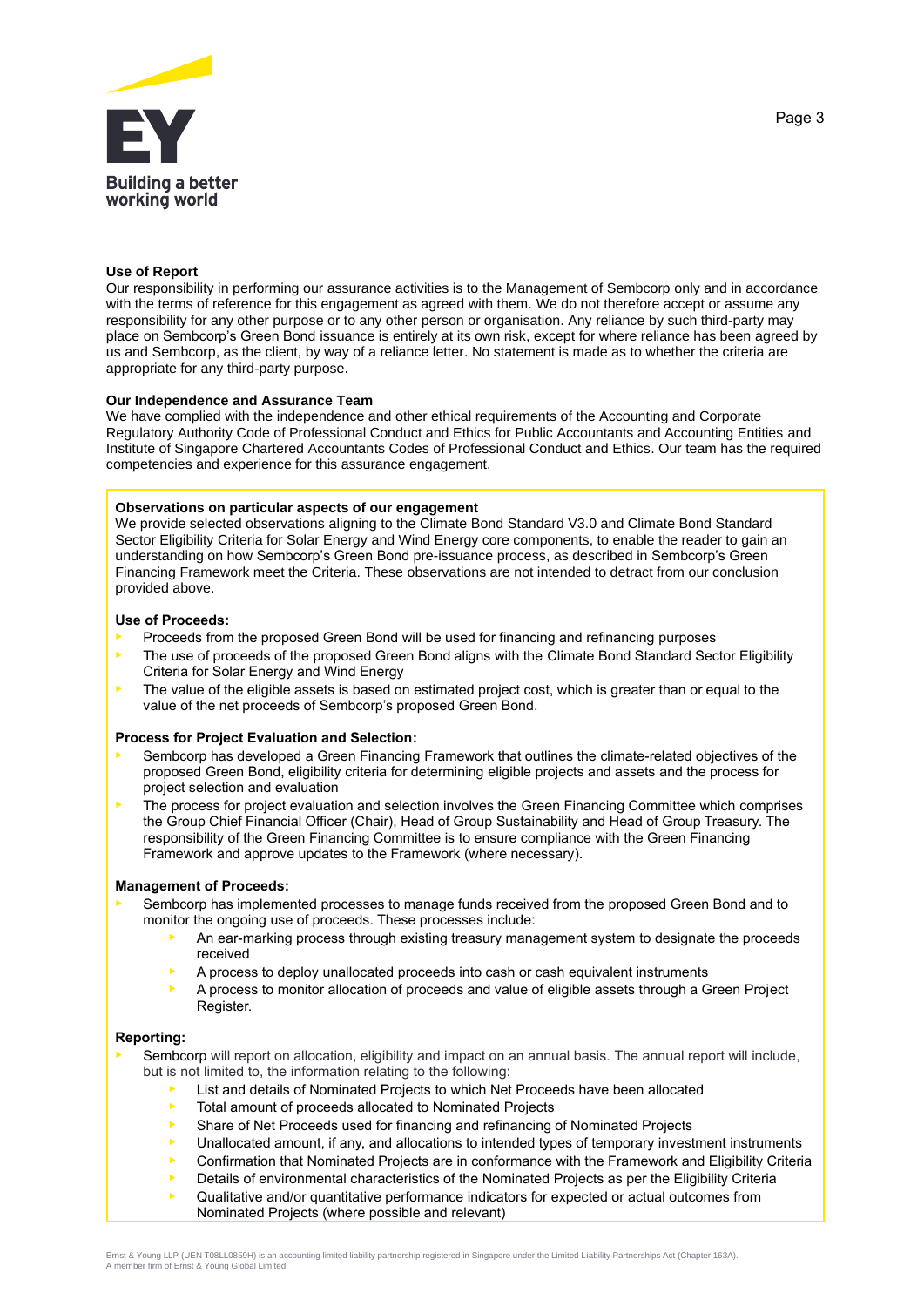

#### **Use of Report**

Our responsibility in performing our assurance activities is to the Management of Sembcorp only and in accordance with the terms of reference for this engagement as agreed with them. We do not therefore accept or assume any responsibility for any other purpose or to any other person or organisation. Any reliance by such third-party may place on Sembcorp's Green Bond issuance is entirely at its own risk, except for where reliance has been agreed by us and Sembcorp, as the client, by way of a reliance letter. No statement is made as to whether the criteria are appropriate for any third-party purpose.

#### **Our Independence and Assurance Team**

We have complied with the independence and other ethical requirements of the Accounting and Corporate Regulatory Authority Code of Professional Conduct and Ethics for Public Accountants and Accounting Entities and Institute of Singapore Chartered Accountants Codes of Professional Conduct and Ethics. Our team has the required competencies and experience for this assurance engagement.

# **Observations on particular aspects of our engagement**

We provide selected observations aligning to the Climate Bond Standard V3.0 and Climate Bond Standard Sector Eligibility Criteria for Solar Energy and Wind Energy core components, to enable the reader to gain an understanding on how Sembcorp's Green Bond pre-issuance process, as described in Sembcorp's Green Financing Framework meet the Criteria. These observations are not intended to detract from our conclusion provided above.

#### **Use of Proceeds:**

- Proceeds from the proposed Green Bond will be used for financing and refinancing purposes
- The use of proceeds of the proposed Green Bond aligns with the Climate Bond Standard Sector Eligibility Criteria for Solar Energy and Wind Energy
- $\blacktriangleright$  The value of the eligible assets is based on estimated project cost, which is greater than or equal to the value of the net proceeds of Sembcorp's proposed Green Bond.

#### **Process for Project Evaluation and Selection:**

- Sembcorp has developed a Green Financing Framework that outlines the climate-related objectives of the proposed Green Bond, eligibility criteria for determining eligible projects and assets and the process for project selection and evaluation
- The process for project evaluation and selection involves the Green Financing Committee which comprises the Group Chief Financial Officer (Chair), Head of Group Sustainability and Head of Group Treasury. The responsibility of the Green Financing Committee is to ensure compliance with the Green Financing Framework and approve updates to the Framework (where necessary).

# **Management of Proceeds:**

- Sembcorp has implemented processes to manage funds received from the proposed Green Bond and to monitor the ongoing use of proceeds. These processes include:
	- An ear-marking process through existing treasury management system to designate the proceeds received
	- A process to deploy unallocated proceeds into cash or cash equivalent instruments
	- A process to monitor allocation of proceeds and value of eligible assets through a Green Project Register.

#### **Reporting:**

- Sembcorp will report on allocation, eligibility and impact on an annual basis. The annual report will include, but is not limited to, the information relating to the following:
	- List and details of Nominated Projects to which Net Proceeds have been allocated
	- Total amount of proceeds allocated to Nominated Projects
	- Share of Net Proceeds used for financing and refinancing of Nominated Projects
	- Unallocated amount, if any, and allocations to intended types of temporary investment instruments
	- Confirmation that Nominated Projects are in conformance with the Framework and Eligibility Criteria
	- Details of environmental characteristics of the Nominated Projects as per the Eligibility Criteria
	- Qualitative and/or quantitative performance indicators for expected or actual outcomes from Nominated Projects (where possible and relevant)